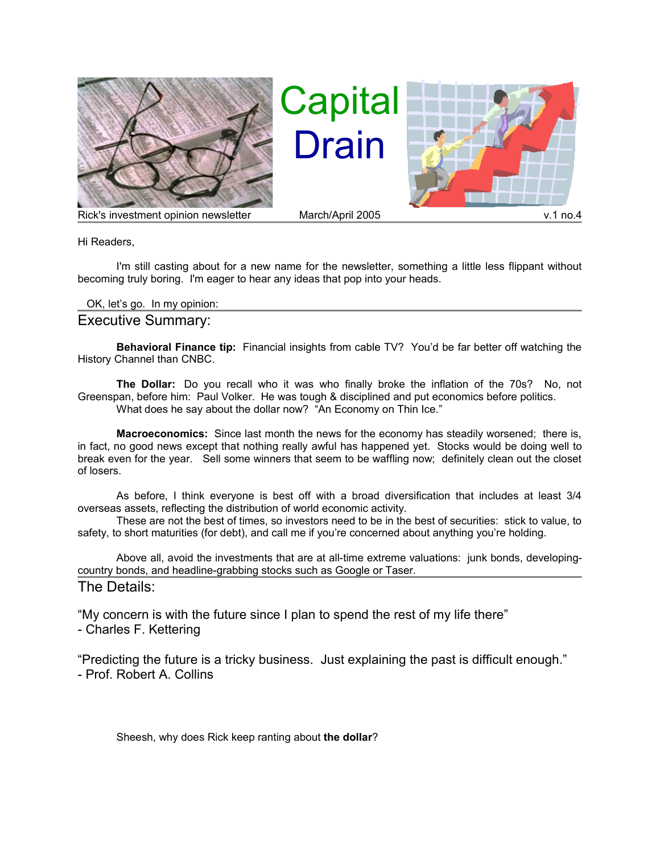

Capital Drain



Rick's investment opinion newsletter March/April 2005 v.1 no.4

Hi Readers,

I'm still casting about for a new name for the newsletter, something a little less flippant without becoming truly boring. I'm eager to hear any ideas that pop into your heads.

## OK, let's go. In my opinion:

## Executive Summary:

**Behavioral Finance tip:** Financial insights from cable TV? You'd be far better off watching the History Channel than CNBC.

**The Dollar:** Do you recall who it was who finally broke the inflation of the 70s? No, not Greenspan, before him: Paul Volker. He was tough & disciplined and put economics before politics. What does he say about the dollar now? "An Economy on Thin Ice."

**Macroeconomics:** Since last month the news for the economy has steadily worsened; there is, in fact, no good news except that nothing really awful has happened yet. Stocks would be doing well to break even for the year. Sell some winners that seem to be waffling now; definitely clean out the closet of losers.

As before, I think everyone is best off with a broad diversification that includes at least 3/4 overseas assets, reflecting the distribution of world economic activity.

These are not the best of times, so investors need to be in the best of securities: stick to value, to safety, to short maturities (for debt), and call me if you're concerned about anything you're holding.

Above all, avoid the investments that are at all-time extreme valuations: junk bonds, developingcountry bonds, and headline-grabbing stocks such as Google or Taser. The Details:

"My concern is with the future since I plan to spend the rest of my life there"

- Charles F. Kettering

"Predicting the future is a tricky business. Just explaining the past is difficult enough." - Prof. Robert A. Collins

Sheesh, why does Rick keep ranting about **the dollar**?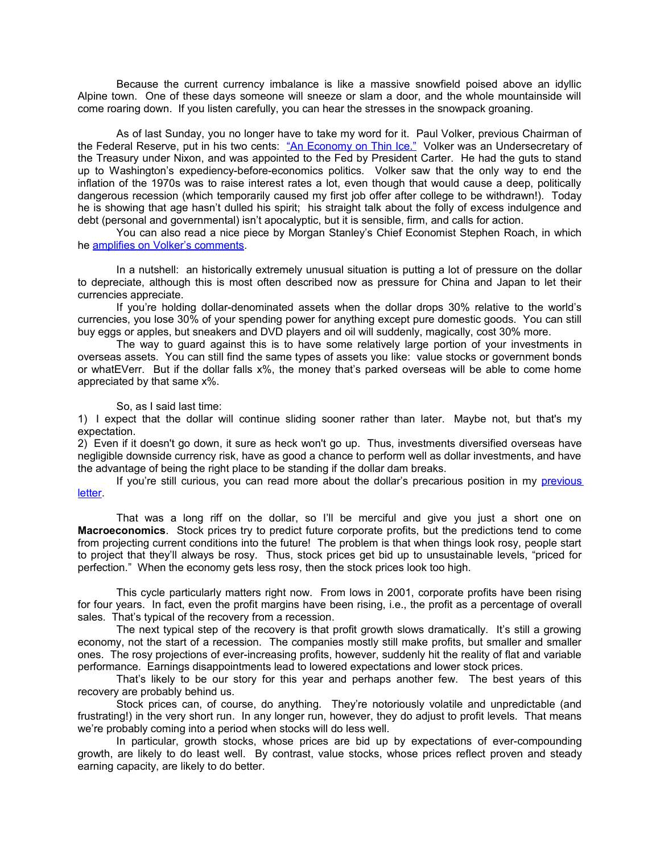Because the current currency imbalance is like a massive snowfield poised above an idyllic Alpine town. One of these days someone will sneeze or slam a door, and the whole mountainside will come roaring down. If you listen carefully, you can hear the stresses in the snowpack groaning.

As of last Sunday, you no longer have to take my word for it. Paul Volker, previous Chairman of the Federal Reserve, put in his two cents: ["An Economy on Thin Ice."](http://www.washingtonpost.com/wp-dyn/articles/A38725-2005Apr8.html?nav=most_emailed) Volker was an Undersecretary of the Treasury under Nixon, and was appointed to the Fed by President Carter. He had the guts to stand up to Washington's expediency-before-economics politics. Volker saw that the only way to end the inflation of the 1970s was to raise interest rates a lot, even though that would cause a deep, politically dangerous recession (which temporarily caused my first job offer after college to be withdrawn!). Today he is showing that age hasn't dulled his spirit; his straight talk about the folly of excess indulgence and debt (personal and governmental) isn't apocalyptic, but it is sensible, firm, and calls for action.

You can also read a nice piece by Morgan Stanley's Chief Economist Stephen Roach, in which he [amplifies on Volker's comments.](http://www.morganstanley.com/GEFdata/digests/20050415-fri.html)

In a nutshell: an historically extremely unusual situation is putting a lot of pressure on the dollar to depreciate, although this is most often described now as pressure for China and Japan to let their currencies appreciate.

If you're holding dollar-denominated assets when the dollar drops 30% relative to the world's currencies, you lose 30% of your spending power for anything except pure domestic goods. You can still buy eggs or apples, but sneakers and DVD players and oil will suddenly, magically, cost 30% more.

The way to guard against this is to have some relatively large portion of your investments in overseas assets. You can still find the same types of assets you like: value stocks or government bonds or whatEVerr. But if the dollar falls x%, the money that's parked overseas will be able to come home appreciated by that same x%.

## So, as I said last time:

1) I expect that the dollar will continue sliding sooner rather than later. Maybe not, but that's my expectation.

2) Even if it doesn't go down, it sure as heck won't go up. Thus, investments diversified overseas have negligible downside currency risk, have as good a chance to perform well as dollar investments, and have the advantage of being the right place to be standing if the dollar dam breaks.

If you're still curious, you can read more about the dollar's precarious position in my [previous](http://www.ricks-cafe.net/CapDrain/CapDrain_v1n3.html) [letter.](http://www.ricks-cafe.net/CapDrain/CapDrain_v1n3.html)

That was a long riff on the dollar, so I'll be merciful and give you just a short one on **Macroeconomics**. Stock prices try to predict future corporate profits, but the predictions tend to come from projecting current conditions into the future! The problem is that when things look rosy, people start to project that they'll always be rosy. Thus, stock prices get bid up to unsustainable levels, "priced for perfection." When the economy gets less rosy, then the stock prices look too high.

This cycle particularly matters right now. From lows in 2001, corporate profits have been rising for four years. In fact, even the profit margins have been rising, i.e., the profit as a percentage of overall sales. That's typical of the recovery from a recession.

The next typical step of the recovery is that profit growth slows dramatically. It's still a growing economy, not the start of a recession. The companies mostly still make profits, but smaller and smaller ones. The rosy projections of ever-increasing profits, however, suddenly hit the reality of flat and variable performance. Earnings disappointments lead to lowered expectations and lower stock prices.

That's likely to be our story for this year and perhaps another few. The best years of this recovery are probably behind us.

Stock prices can, of course, do anything. They're notoriously volatile and unpredictable (and frustrating!) in the very short run. In any longer run, however, they do adjust to profit levels. That means we're probably coming into a period when stocks will do less well.

In particular, growth stocks, whose prices are bid up by expectations of ever-compounding growth, are likely to do least well. By contrast, value stocks, whose prices reflect proven and steady earning capacity, are likely to do better.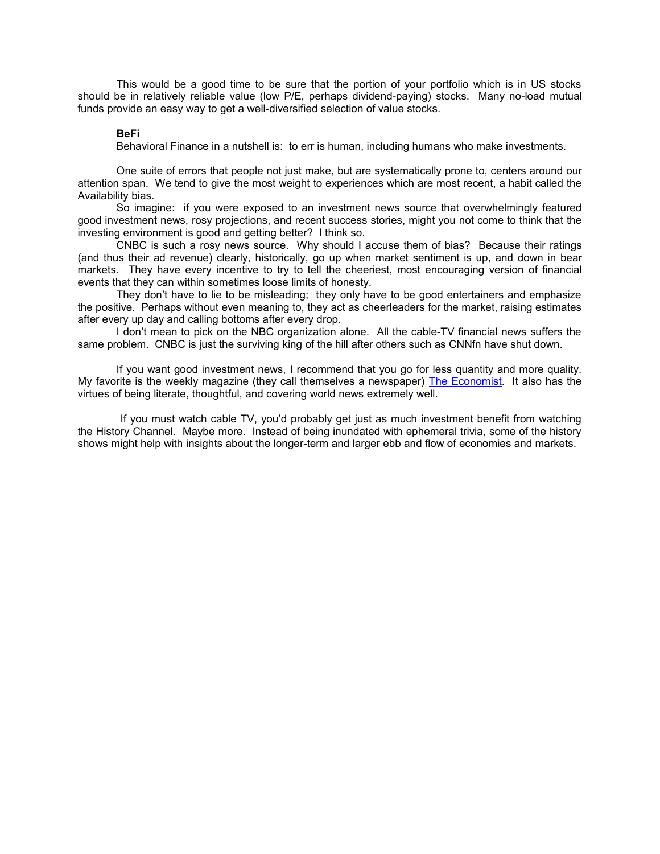This would be a good time to be sure that the portion of your portfolio which is in US stocks should be in relatively reliable value (low P/E, perhaps dividend-paying) stocks. Many no-load mutual funds provide an easy way to get a well-diversified selection of value stocks.

## **BeFi**

Behavioral Finance in a nutshell is: to err is human, including humans who make investments.

One suite of errors that people not just make, but are systematically prone to, centers around our attention span. We tend to give the most weight to experiences which are most recent, a habit called the Availability bias.

So imagine: if you were exposed to an investment news source that overwhelmingly featured good investment news, rosy projections, and recent success stories, might you not come to think that the investing environment is good and getting better? I think so.

CNBC is such a rosy news source. Why should I accuse them of bias? Because their ratings (and thus their ad revenue) clearly, historically, go up when market sentiment is up, and down in bear markets. They have every incentive to try to tell the cheeriest, most encouraging version of financial events that they can within sometimes loose limits of honesty.

They don't have to lie to be misleading; they only have to be good entertainers and emphasize the positive. Perhaps without even meaning to, they act as cheerleaders for the market, raising estimates after every up day and calling bottoms after every drop.

I don't mean to pick on the NBC organization alone. All the cable-TV financial news suffers the same problem. CNBC is just the surviving king of the hill after others such as CNNfn have shut down.

If you want good investment news, I recommend that you go for less quantity and more quality. My favorite is the weekly magazine (they call themselves a newspaper) [The Economist.](http://www.economist.com/) It also has the virtues of being literate, thoughtful, and covering world news extremely well.

 If you must watch cable TV, you'd probably get just as much investment benefit from watching the History Channel. Maybe more. Instead of being inundated with ephemeral trivia, some of the history shows might help with insights about the longer-term and larger ebb and flow of economies and markets.